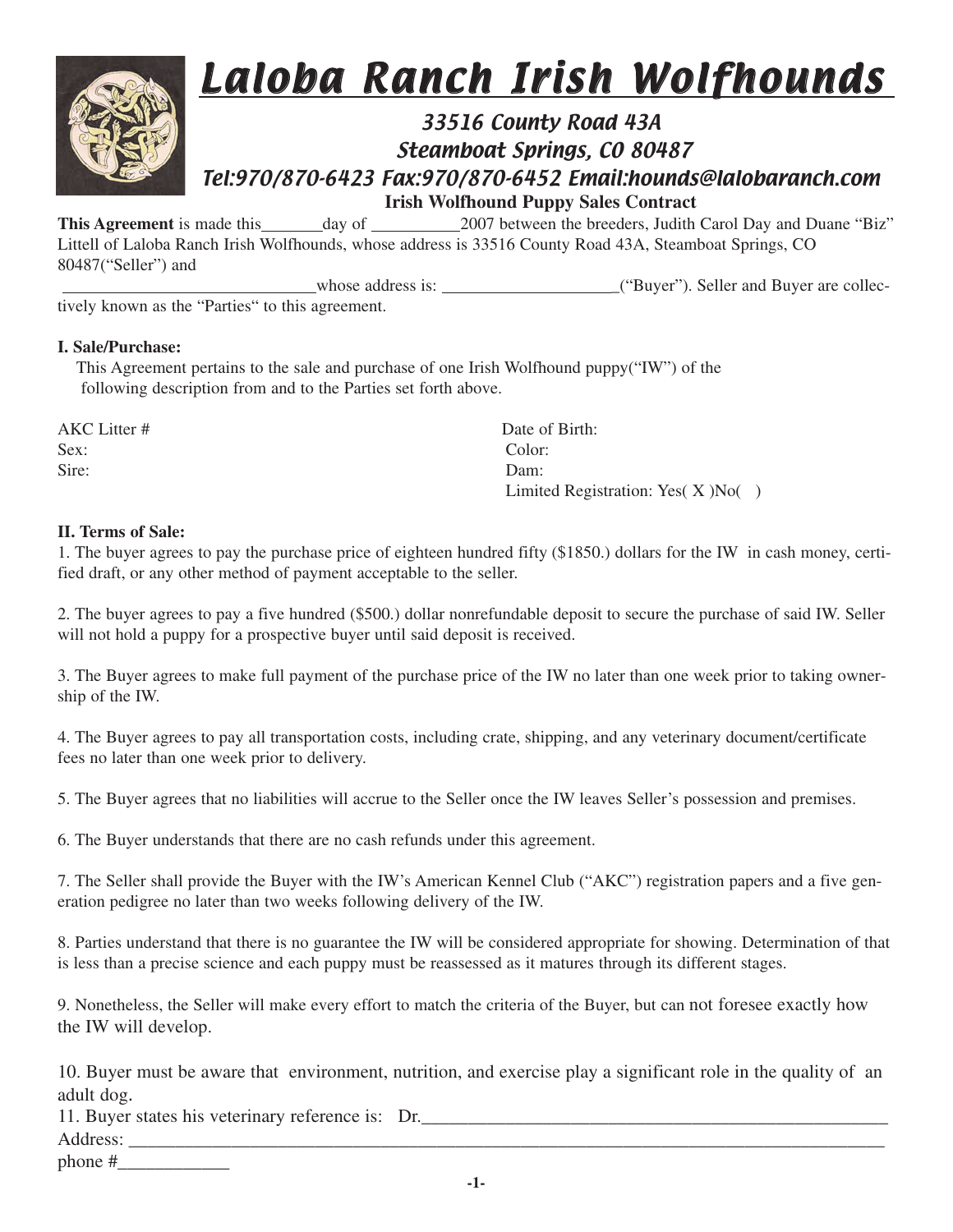

### 33516 County Road 43A Steamboat Springs, CO 80487 Tel:970/870-6423 Fax:970/870-6452 Email:hounds@lalobaranch.com

**Irish Wolfhound Puppy Sales Contract**<br>This Agreement is made this day of 2007 between the breeders, Judith 2007 between the breeders, Judith Carol Day and Duane "Biz" Littell of Laloba Ranch Irish Wolfhounds, whose address is 33516 County Road 43A, Steamboat Springs, CO 80487("Seller") and

whose address is: \_("Buyer"). Seller and Buyer are collectively known as the "Parties" to this agreement.

### **I. Sale/Purchase:**

This Agreement pertains to the sale and purchase of one Irish Wolfhound puppy("IW") of the following description from and to the Parties set forth above.

Sex: Color: Sire: Dam:

AKC Litter # Date of Birth: Limited Registration: Yes( X )No( )

#### **II. Terms of Sale:**

1. The buyer agrees to pay the purchase price of eighteen hundred fifty (\$1850.) dollars for the IW in cash money, certified draft, or any other method of payment acceptable to the seller.

2. The buyer agrees to pay a five hundred (\$500.) dollar nonrefundable deposit to secure the purchase of said IW. Seller will not hold a puppy for a prospective buyer until said deposit is received.

3. The Buyer agrees to make full payment of the purchase price of the IW no later than one week prior to taking ownership of the IW.

4. The Buyer agrees to pay all transportation costs, including crate, shipping, and any veterinary document/certificate fees no later than one week prior to delivery.

5. The Buyer agrees that no liabilities will accrue to the Seller once the IW leaves Seller's possession and premises.

6. The Buyer understands that there are no cash refunds under this agreement.

7. The Seller shall provide the Buyer with the IW's American Kennel Club ("AKC") registration papers and a five generation pedigree no later than two weeks following delivery of the IW.

8. Parties understand that there is no guarantee the IW will be considered appropriate for showing. Determination of that is less than a precise science and each puppy must be reassessed as it matures through its different stages.

9. Nonetheless, the Seller will make every effort to match the criteria of the Buyer, but can not foresee exactly how the IW will develop.

10. Buyer must be aware that environment, nutrition, and exercise play a significant role in the quality of an adult dog.

11. Buyer states his veterinary reference is: Dr. Address:

phone  $\#$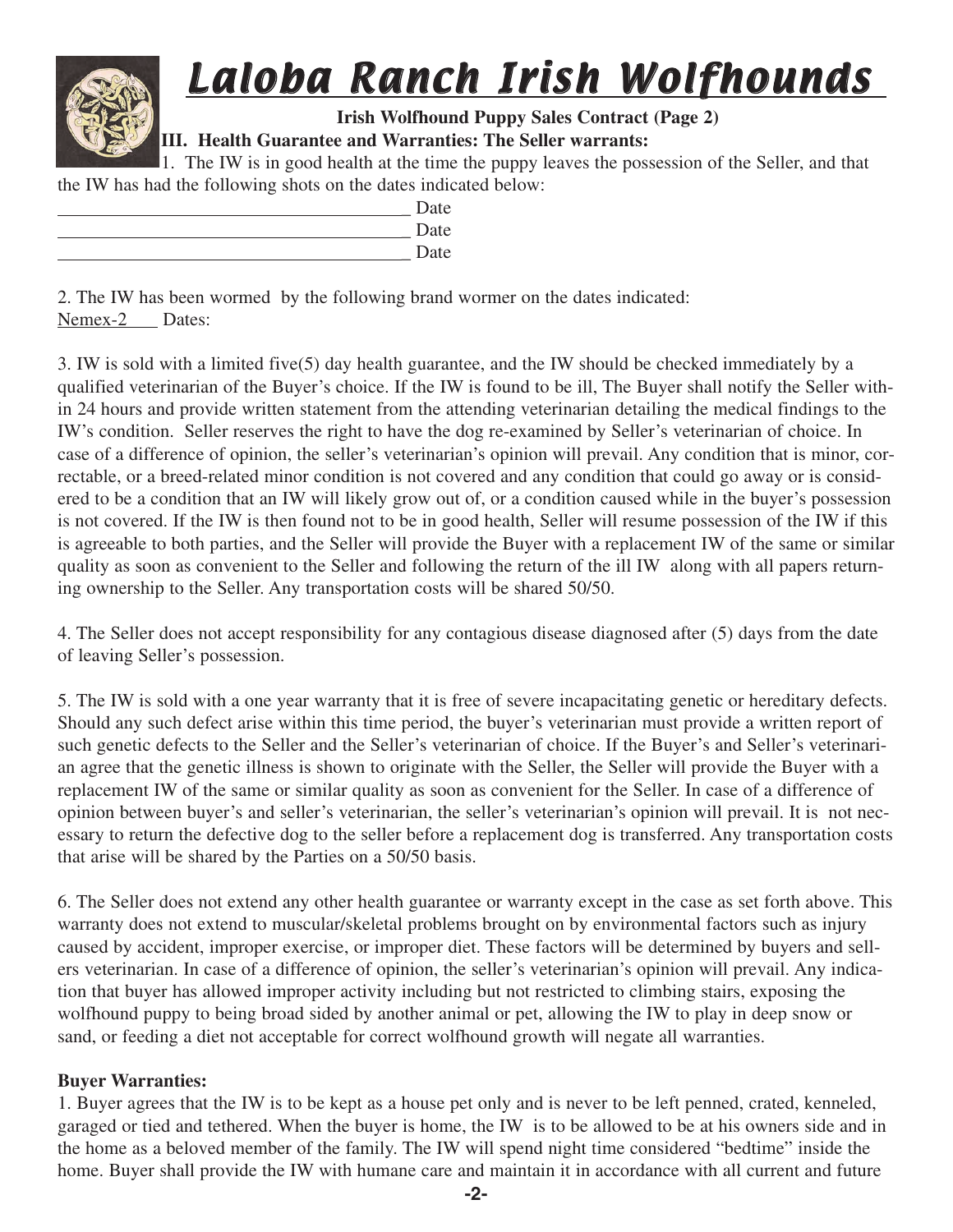**Irish Wolfhound Puppy Sales Contract (Page 2)**

### **III. Health Guarantee and Warranties: The Seller warrants:**

1. The IW is in good health at the time the puppy leaves the possession of the Seller, and that the IW has had the following shots on the dates indicated below:

| Date |
|------|
| Date |
| Date |

2. The IW has been wormed by the following brand wormer on the dates indicated: Nemex-2 Dates:

3. IW is sold with a limited five(5) day health guarantee, and the IW should be checked immediately by a qualified veterinarian of the Buyer's choice. If the IW is found to be ill, The Buyer shall notify the Seller within 24 hours and provide written statement from the attending veterinarian detailing the medical findings to the IW's condition. Seller reserves the right to have the dog re-examined by Seller's veterinarian of choice. In case of a difference of opinion, the seller's veterinarian's opinion will prevail. Any condition that is minor, correctable, or a breed-related minor condition is not covered and any condition that could go away or is considered to be a condition that an IW will likely grow out of, or a condition caused while in the buyer's possession is not covered. If the IW is then found not to be in good health, Seller will resume possession of the IW if this is agreeable to both parties, and the Seller will provide the Buyer with a replacement IW of the same or similar quality as soon as convenient to the Seller and following the return of the ill IW along with all papers returning ownership to the Seller. Any transportation costs will be shared 50/50.

4. The Seller does not accept responsibility for any contagious disease diagnosed after (5) days from the date of leaving Seller's possession.

5. The IW is sold with a one year warranty that it is free of severe incapacitating genetic or hereditary defects. Should any such defect arise within this time period, the buyer's veterinarian must provide a written report of such genetic defects to the Seller and the Seller's veterinarian of choice. If the Buyer's and Seller's veterinarian agree that the genetic illness is shown to originate with the Seller, the Seller will provide the Buyer with a replacement IW of the same or similar quality as soon as convenient for the Seller. In case of a difference of opinion between buyer's and seller's veterinarian, the seller's veterinarian's opinion will prevail. It is not necessary to return the defective dog to the seller before a replacement dog is transferred. Any transportation costs that arise will be shared by the Parties on a 50/50 basis.

6. The Seller does not extend any other health guarantee or warranty except in the case as set forth above. This warranty does not extend to muscular/skeletal problems brought on by environmental factors such as injury caused by accident, improper exercise, or improper diet. These factors will be determined by buyers and sellers veterinarian. In case of a difference of opinion, the seller's veterinarian's opinion will prevail. Any indication that buyer has allowed improper activity including but not restricted to climbing stairs, exposing the wolfhound puppy to being broad sided by another animal or pet, allowing the IW to play in deep snow or sand, or feeding a diet not acceptable for correct wolfhound growth will negate all warranties.

### **Buyer Warranties:**

1. Buyer agrees that the IW is to be kept as a house pet only and is never to be left penned, crated, kenneled, garaged or tied and tethered. When the buyer is home, the IW is to be allowed to be at his owners side and in the home as a beloved member of the family. The IW will spend night time considered "bedtime" inside the home. Buyer shall provide the IW with humane care and maintain it in accordance with all current and future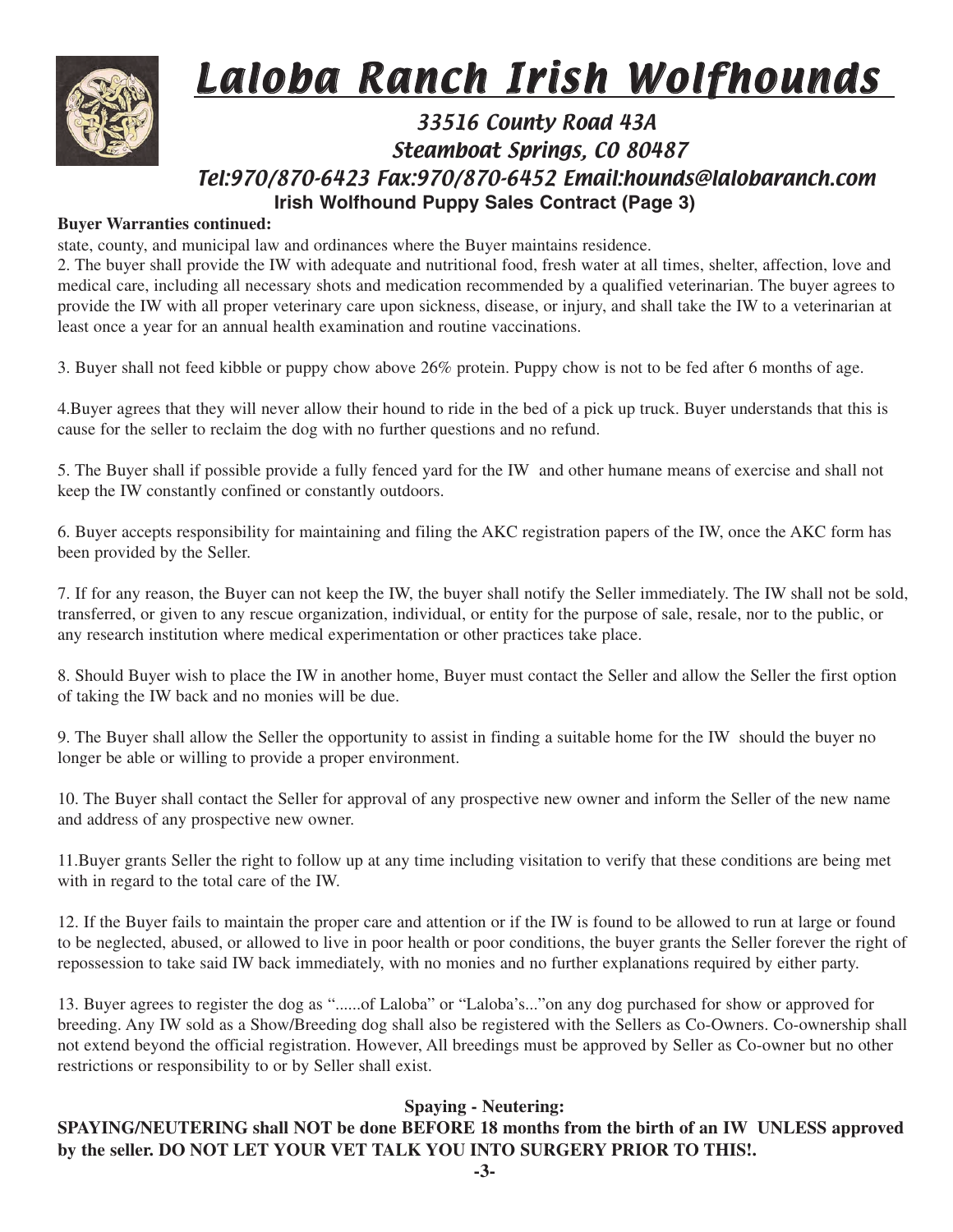

### 33516 County Road 43A Steamboat Springs, CO 80487 Tel:970/870-6423 Fax:970/870-6452 Email:hounds@lalobaranch.com **Irish Wolfhound Puppy Sales Contract (Page 3)**

#### **Buyer Warranties continued:**

state, county, and municipal law and ordinances where the Buyer maintains residence.

2. The buyer shall provide the IW with adequate and nutritional food, fresh water at all times, shelter, affection, love and medical care, including all necessary shots and medication recommended by a qualified veterinarian. The buyer agrees to provide the IW with all proper veterinary care upon sickness, disease, or injury, and shall take the IW to a veterinarian at least once a year for an annual health examination and routine vaccinations.

3. Buyer shall not feed kibble or puppy chow above 26% protein. Puppy chow is not to be fed after 6 months of age.

4.Buyer agrees that they will never allow their hound to ride in the bed of a pick up truck. Buyer understands that this is cause for the seller to reclaim the dog with no further questions and no refund.

5. The Buyer shall if possible provide a fully fenced yard for the IW and other humane means of exercise and shall not keep the IW constantly confined or constantly outdoors.

6. Buyer accepts responsibility for maintaining and filing the AKC registration papers of the IW, once the AKC form has been provided by the Seller.

7. If for any reason, the Buyer can not keep the IW, the buyer shall notify the Seller immediately. The IW shall not be sold, transferred, or given to any rescue organization, individual, or entity for the purpose of sale, resale, nor to the public, or any research institution where medical experimentation or other practices take place.

8. Should Buyer wish to place the IW in another home, Buyer must contact the Seller and allow the Seller the first option of taking the IW back and no monies will be due.

9. The Buyer shall allow the Seller the opportunity to assist in finding a suitable home for the IW should the buyer no longer be able or willing to provide a proper environment.

10. The Buyer shall contact the Seller for approval of any prospective new owner and inform the Seller of the new name and address of any prospective new owner.

11.Buyer grants Seller the right to follow up at any time including visitation to verify that these conditions are being met with in regard to the total care of the IW.

12. If the Buyer fails to maintain the proper care and attention or if the IW is found to be allowed to run at large or found to be neglected, abused, or allowed to live in poor health or poor conditions, the buyer grants the Seller forever the right of repossession to take said IW back immediately, with no monies and no further explanations required by either party.

13. Buyer agrees to register the dog as "......of Laloba" or "Laloba's..."on any dog purchased for show or approved for breeding. Any IW sold as a Show/Breeding dog shall also be registered with the Sellers as Co-Owners. Co-ownership shall not extend beyond the official registration. However, All breedings must be approved by Seller as Co-owner but no other restrictions or responsibility to or by Seller shall exist.

### **Spaying - Neutering:**

### **SPAYING/NEUTERING shall NOT be done BEFORE 18 months from the birth of an IW UNLESS approved by the seller. DO NOT LET YOUR VET TALK YOU INTO SURGERY PRIOR TO THIS!.**